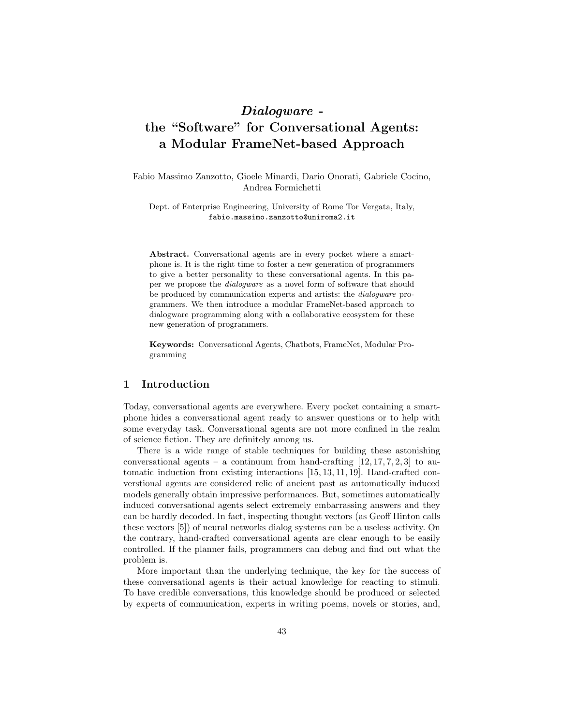# Dialogware the "Software" for Conversational Agents: a Modular FrameNet-based Approach

Fabio Massimo Zanzotto, Gioele Minardi, Dario Onorati, Gabriele Cocino, Andrea Formichetti

Dept. of Enterprise Engineering, University of Rome Tor Vergata, Italy, fabio.massimo.zanzotto@uniroma2.it

Abstract. Conversational agents are in every pocket where a smartphone is. It is the right time to foster a new generation of programmers to give a better personality to these conversational agents. In this paper we propose the dialogware as a novel form of software that should be produced by communication experts and artists: the dialogware programmers. We then introduce a modular FrameNet-based approach to dialogware programming along with a collaborative ecosystem for these new generation of programmers.

Keywords: Conversational Agents, Chatbots, FrameNet, Modular Programming

### 1 Introduction

Today, conversational agents are everywhere. Every pocket containing a smartphone hides a conversational agent ready to answer questions or to help with some everyday task. Conversational agents are not more confined in the realm of science fiction. They are definitely among us.

There is a wide range of stable techniques for building these astonishing conversational agents – a continuum from hand-crafting  $[12, 17, 7, 2, 3]$  to automatic induction from existing interactions [15, 13, 11, 19]. Hand-crafted converstional agents are considered relic of ancient past as automatically induced models generally obtain impressive performances. But, sometimes automatically induced conversational agents select extremely embarrassing answers and they can be hardly decoded. In fact, inspecting thought vectors (as Geoff Hinton calls these vectors [5]) of neural networks dialog systems can be a useless activity. On the contrary, hand-crafted conversational agents are clear enough to be easily controlled. If the planner fails, programmers can debug and find out what the problem is.

More important than the underlying technique, the key for the success of these conversational agents is their actual knowledge for reacting to stimuli. To have credible conversations, this knowledge should be produced or selected by experts of communication, experts in writing poems, novels or stories, and,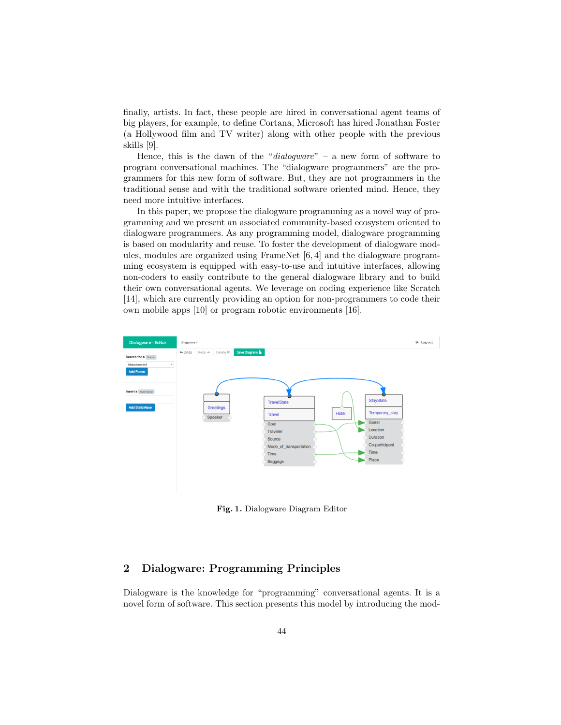finally, artists. In fact, these people are hired in conversational agent teams of big players, for example, to define Cortana, Microsoft has hired Jonathan Foster (a Hollywood film and TV writer) along with other people with the previous skills [9].

Hence, this is the dawn of the "dialogware" – a new form of software to program conversational machines. The "dialogware programmers" are the programmers for this new form of software. But, they are not programmers in the traditional sense and with the traditional software oriented mind. Hence, they need more intuitive interfaces.

In this paper, we propose the dialogware programming as a novel way of programming and we present an associated community-based ecosystem oriented to dialogware programmers. As any programming model, dialogware programming is based on modularity and reuse. To foster the development of dialogware modules, modules are organized using FrameNet [6, 4] and the dialogware programming ecosystem is equipped with easy-to-use and intuitive interfaces, allowing non-coders to easily contribute to the general dialogware library and to build their own conversational agents. We leverage on coding experience like Scratch [14], which are currently providing an option for non-programmers to code their own mobile apps [10] or program robotic environments [16].



Fig. 1. Dialogware Diagram Editor

# 2 Dialogware: Programming Principles

Dialogware is the knowledge for "programming" conversational agents. It is a novel form of software. This section presents this model by introducing the mod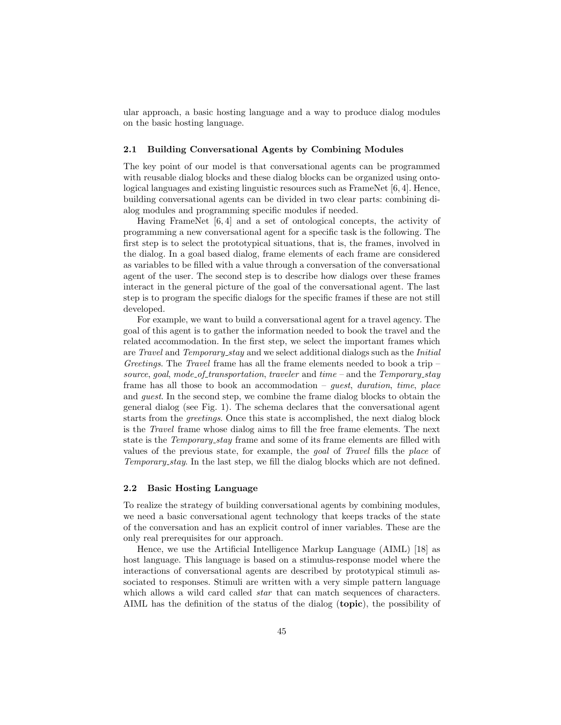ular approach, a basic hosting language and a way to produce dialog modules on the basic hosting language.

### 2.1 Building Conversational Agents by Combining Modules

The key point of our model is that conversational agents can be programmed with reusable dialog blocks and these dialog blocks can be organized using ontological languages and existing linguistic resources such as FrameNet [6, 4]. Hence, building conversational agents can be divided in two clear parts: combining dialog modules and programming specific modules if needed.

Having FrameNet [6, 4] and a set of ontological concepts, the activity of programming a new conversational agent for a specific task is the following. The first step is to select the prototypical situations, that is, the frames, involved in the dialog. In a goal based dialog, frame elements of each frame are considered as variables to be filled with a value through a conversation of the conversational agent of the user. The second step is to describe how dialogs over these frames interact in the general picture of the goal of the conversational agent. The last step is to program the specific dialogs for the specific frames if these are not still developed.

For example, we want to build a conversational agent for a travel agency. The goal of this agent is to gather the information needed to book the travel and the related accommodation. In the first step, we select the important frames which are Travel and Temporary stay and we select additional dialogs such as the Initial Greetings. The Travel frame has all the frame elements needed to book a trip – source, goal, mode\_of\_transportation, traveler and time – and the Temporary\_stay frame has all those to book an accommodation – *guest*, duration, time, place and guest. In the second step, we combine the frame dialog blocks to obtain the general dialog (see Fig. 1). The schema declares that the conversational agent starts from the greetings. Once this state is accomplished, the next dialog block is the Travel frame whose dialog aims to fill the free frame elements. The next state is the *Temporary\_stay* frame and some of its frame elements are filled with values of the previous state, for example, the goal of Travel fills the place of Temporary stay. In the last step, we fill the dialog blocks which are not defined.

### 2.2 Basic Hosting Language

To realize the strategy of building conversational agents by combining modules, we need a basic conversational agent technology that keeps tracks of the state of the conversation and has an explicit control of inner variables. These are the only real prerequisites for our approach.

Hence, we use the Artificial Intelligence Markup Language (AIML) [18] as host language. This language is based on a stimulus-response model where the interactions of conversational agents are described by prototypical stimuli associated to responses. Stimuli are written with a very simple pattern language which allows a wild card called *star* that can match sequences of characters. AIML has the definition of the status of the dialog (topic), the possibility of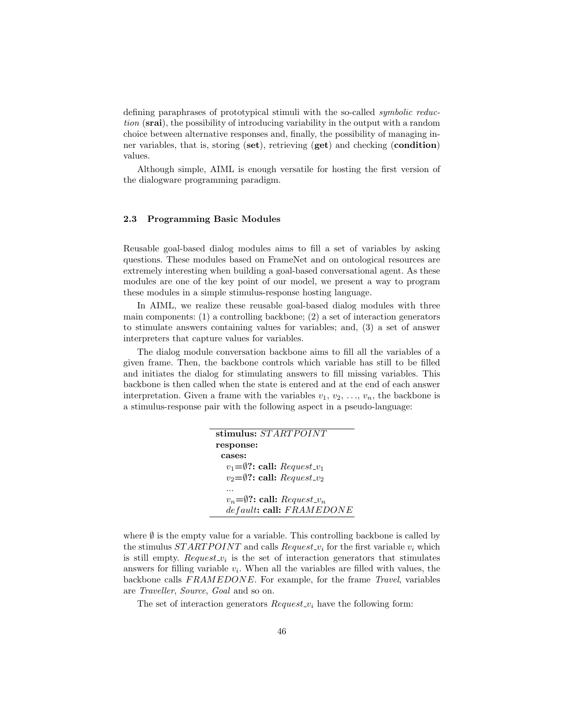defining paraphrases of prototypical stimuli with the so-called symbolic reduction (srai), the possibility of introducing variability in the output with a random choice between alternative responses and, finally, the possibility of managing inner variables, that is, storing (set), retrieving (get) and checking (condition) values.

Although simple, AIML is enough versatile for hosting the first version of the dialogware programming paradigm.

#### 2.3 Programming Basic Modules

Reusable goal-based dialog modules aims to fill a set of variables by asking questions. These modules based on FrameNet and on ontological resources are extremely interesting when building a goal-based conversational agent. As these modules are one of the key point of our model, we present a way to program these modules in a simple stimulus-response hosting language.

In AIML, we realize these reusable goal-based dialog modules with three main components: (1) a controlling backbone; (2) a set of interaction generators to stimulate answers containing values for variables; and, (3) a set of answer interpreters that capture values for variables.

The dialog module conversation backbone aims to fill all the variables of a given frame. Then, the backbone controls which variable has still to be filled and initiates the dialog for stimulating answers to fill missing variables. This backbone is then called when the state is entered and at the end of each answer interpretation. Given a frame with the variables  $v_1, v_2, \ldots, v_n$ , the backbone is a stimulus-response pair with the following aspect in a pseudo-language:

| stimulus: STARTPOINT                              |
|---------------------------------------------------|
| response:                                         |
| cases:                                            |
| $v_1 = \emptyset$ ?: call: Request_v <sub>1</sub> |
| $v_2 = \emptyset$ ?: call: Request_ $v_2$         |
|                                                   |
| $v_n = \emptyset$ ?: call: $Request\_v_n$         |
| default: call: FRAMEDONE                          |

where  $\emptyset$  is the empty value for a variable. This controlling backbone is called by the stimulus  $STARTPOINT$  and calls  $Request_{\neg v_i}$  for the first variable  $v_i$  which is still empty.  $Request_{v_i}$  is the set of interaction generators that stimulates answers for filling variable  $v_i$ . When all the variables are filled with values, the backbone calls  $FRAMEDONE$ . For example, for the frame Travel, variables are Traveller, Source, Goal and so on.

The set of interaction generators  $Request_{i}$  have the following form: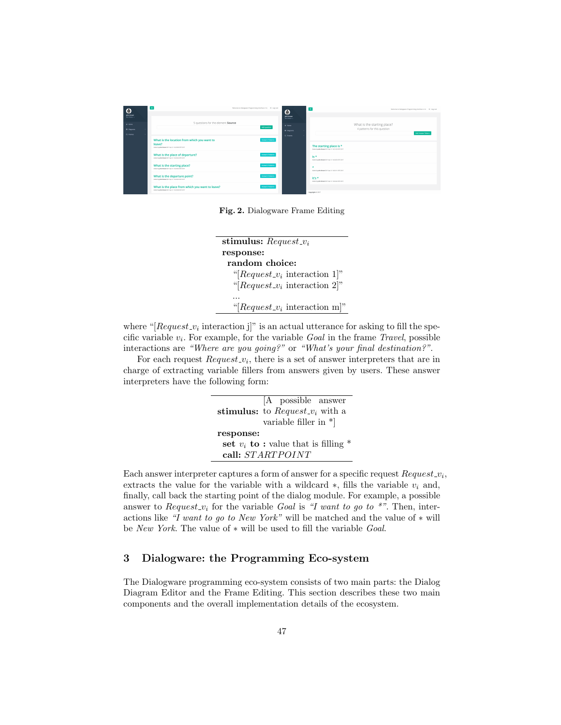

Fig. 2. Dialogware Frame Editing

| stimulus: $Request_{i}$              |  |
|--------------------------------------|--|
| response:                            |  |
| random choice:                       |  |
| "[ $Request_{\nu_i}$ interaction 1]" |  |
| "[ $Request_{\nu_i}$ interaction 2]" |  |
|                                      |  |
| "[ $Request_v_i$ interaction m]"     |  |

where " $[Request\_v_i]$  interaction j]" is an actual utterance for asking to fill the specific variable  $v_i$ . For example, for the variable  $Goal$  in the frame  $Travel$ , possible interactions are "Where are you going?" or "What's your final destination?".

For each request  $Request_v_i$ , there is a set of answer interpreters that are in charge of extracting variable fillers from answers given by users. These answer interpreters have the following form:

|                                         | [A possible answer<br>stimulus: to $Request_{v_i}$ with a<br>variable filler in $*$ |  |
|-----------------------------------------|-------------------------------------------------------------------------------------|--|
| response:                               |                                                                                     |  |
| set $v_i$ to: value that is filling $*$ |                                                                                     |  |
| call: STARTPOINT                        |                                                                                     |  |

Each answer interpreter captures a form of answer for a specific request  $Request\_v_i$ , extracts the value for the variable with a wildcard  $\ast$ , fills the variable  $v_i$  and, finally, call back the starting point of the dialog module. For example, a possible answer to *Request\_v<sub>i</sub>* for the variable Goal is "I want to go to \*". Then, interactions like "I want to go to New York" will be matched and the value of  $*$  will be New York. The value of ∗ will be used to fill the variable Goal.

## 3 Dialogware: the Programming Eco-system

The Dialogware programming eco-system consists of two main parts: the Dialog Diagram Editor and the Frame Editing. This section describes these two main components and the overall implementation details of the ecosystem.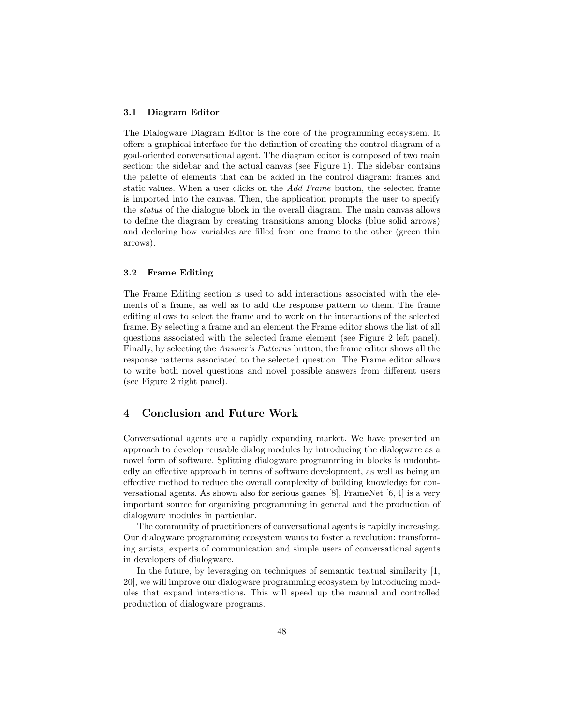#### 3.1 Diagram Editor

The Dialogware Diagram Editor is the core of the programming ecosystem. It offers a graphical interface for the definition of creating the control diagram of a goal-oriented conversational agent. The diagram editor is composed of two main section: the sidebar and the actual canvas (see Figure 1). The sidebar contains the palette of elements that can be added in the control diagram: frames and static values. When a user clicks on the Add Frame button, the selected frame is imported into the canvas. Then, the application prompts the user to specify the status of the dialogue block in the overall diagram. The main canvas allows to define the diagram by creating transitions among blocks (blue solid arrows) and declaring how variables are filled from one frame to the other (green thin arrows).

### 3.2 Frame Editing

The Frame Editing section is used to add interactions associated with the elements of a frame, as well as to add the response pattern to them. The frame editing allows to select the frame and to work on the interactions of the selected frame. By selecting a frame and an element the Frame editor shows the list of all questions associated with the selected frame element (see Figure 2 left panel). Finally, by selecting the Answer's Patterns button, the frame editor shows all the response patterns associated to the selected question. The Frame editor allows to write both novel questions and novel possible answers from different users (see Figure 2 right panel).

### 4 Conclusion and Future Work

Conversational agents are a rapidly expanding market. We have presented an approach to develop reusable dialog modules by introducing the dialogware as a novel form of software. Splitting dialogware programming in blocks is undoubtedly an effective approach in terms of software development, as well as being an effective method to reduce the overall complexity of building knowledge for conversational agents. As shown also for serious games [8], FrameNet [6, 4] is a very important source for organizing programming in general and the production of dialogware modules in particular.

The community of practitioners of conversational agents is rapidly increasing. Our dialogware programming ecosystem wants to foster a revolution: transforming artists, experts of communication and simple users of conversational agents in developers of dialogware.

In the future, by leveraging on techniques of semantic textual similarity [1, 20], we will improve our dialogware programming ecosystem by introducing modules that expand interactions. This will speed up the manual and controlled production of dialogware programs.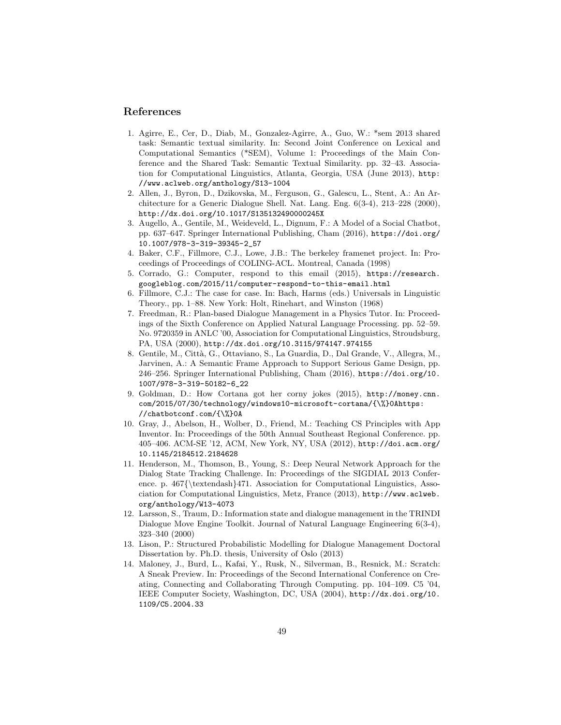### References

- 1. Agirre, E., Cer, D., Diab, M., Gonzalez-Agirre, A., Guo, W.: \*sem 2013 shared task: Semantic textual similarity. In: Second Joint Conference on Lexical and Computational Semantics (\*SEM), Volume 1: Proceedings of the Main Conference and the Shared Task: Semantic Textual Similarity. pp. 32–43. Association for Computational Linguistics, Atlanta, Georgia, USA (June 2013), http: //www.aclweb.org/anthology/S13-1004
- 2. Allen, J., Byron, D., Dzikovska, M., Ferguson, G., Galescu, L., Stent, A.: An Architecture for a Generic Dialogue Shell. Nat. Lang. Eng. 6(3-4), 213–228 (2000), http://dx.doi.org/10.1017/S135132490000245X
- 3. Augello, A., Gentile, M., Weideveld, L., Dignum, F.: A Model of a Social Chatbot, pp. 637–647. Springer International Publishing, Cham (2016), https://doi.org/ 10.1007/978-3-319-39345-2\_57
- 4. Baker, C.F., Fillmore, C.J., Lowe, J.B.: The berkeley framenet project. In: Proceedings of Proceedings of COLING-ACL. Montreal, Canada (1998)
- 5. Corrado, G.: Computer, respond to this email (2015), https://research. googleblog.com/2015/11/computer-respond-to-this-email.html
- 6. Fillmore, C.J.: The case for case. In: Bach, Harms (eds.) Universals in Linguistic Theory., pp. 1–88. New York: Holt, Rinehart, and Winston (1968)
- 7. Freedman, R.: Plan-based Dialogue Management in a Physics Tutor. In: Proceedings of the Sixth Conference on Applied Natural Language Processing. pp. 52–59. No. 9720359 in ANLC '00, Association for Computational Linguistics, Stroudsburg, PA, USA (2000), http://dx.doi.org/10.3115/974147.974155
- 8. Gentile, M., Citt`a, G., Ottaviano, S., La Guardia, D., Dal Grande, V., Allegra, M., Jarvinen, A.: A Semantic Frame Approach to Support Serious Game Design, pp. 246–256. Springer International Publishing, Cham (2016), https://doi.org/10. 1007/978-3-319-50182-6\_22
- 9. Goldman, D.: How Cortana got her corny jokes (2015), http://money.cnn. com/2015/07/30/technology/windows10-microsoft-cortana/{\%}0Ahttps: //chatbotconf.com/{\%}0A
- 10. Gray, J., Abelson, H., Wolber, D., Friend, M.: Teaching CS Principles with App Inventor. In: Proceedings of the 50th Annual Southeast Regional Conference. pp. 405–406. ACM-SE '12, ACM, New York, NY, USA (2012), http://doi.acm.org/ 10.1145/2184512.2184628
- 11. Henderson, M., Thomson, B., Young, S.: Deep Neural Network Approach for the Dialog State Tracking Challenge. In: Proceedings of the SIGDIAL 2013 Conference. p. 467{\textendash}471. Association for Computational Linguistics, Association for Computational Linguistics, Metz, France (2013), http://www.aclweb. org/anthology/W13-4073
- 12. Larsson, S., Traum, D.: Information state and dialogue management in the TRINDI Dialogue Move Engine Toolkit. Journal of Natural Language Engineering 6(3-4), 323–340 (2000)
- 13. Lison, P.: Structured Probabilistic Modelling for Dialogue Management Doctoral Dissertation by. Ph.D. thesis, University of Oslo (2013)
- 14. Maloney, J., Burd, L., Kafai, Y., Rusk, N., Silverman, B., Resnick, M.: Scratch: A Sneak Preview. In: Proceedings of the Second International Conference on Creating, Connecting and Collaborating Through Computing. pp. 104–109. C5 '04, IEEE Computer Society, Washington, DC, USA (2004), http://dx.doi.org/10. 1109/C5.2004.33